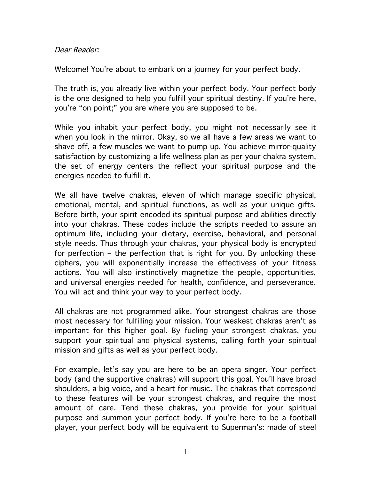#### Dear Reader:

Welcome! You're about to embark on a journey for your perfect body.

The truth is, you already live within your perfect body. Your perfect body is the one designed to help you fulfill your spiritual destiny. If you're here, you're "on point;" you are where you are supposed to be.

While you inhabit your perfect body, you might not necessarily see it when you look in the mirror. Okay, so we all have a few areas we want to shave off, a few muscles we want to pump up. You achieve mirror-quality satisfaction by customizing a life wellness plan as per your chakra system, the set of energy centers the reflect your spiritual purpose and the energies needed to fulfill it.

We all have twelve chakras, eleven of which manage specific physical, emotional, mental, and spiritual functions, as well as your unique gifts. Before birth, your spirit encoded its spiritual purpose and abilities directly into your chakras. These codes include the scripts needed to assure an optimum life, including your dietary, exercise, behavioral, and personal style needs. Thus through your chakras, your physical body is encrypted for perfection – the perfection that is right for you. By unlocking these ciphers, you will exponentially increase the effectivess of your fitness actions. You will also instinctively magnetize the people, opportunities, and universal energies needed for health, confidence, and perseverance. You will act and think your way to your perfect body.

All chakras are not programmed alike. Your strongest chakras are those most necessary for fulfilling your mission. Your weakest chakras aren't as important for this higher goal. By fueling your strongest chakras, you support your spiritual and physical systems, calling forth your spiritual mission and gifts as well as your perfect body.

For example, let's say you are here to be an opera singer. Your perfect body (and the supportive chakras) will support this goal. You'll have broad shoulders, a big voice, and a heart for music. The chakras that correspond to these features will be your strongest chakras, and require the most amount of care. Tend these chakras, you provide for your spiritual purpose and summon your perfect body. If you're here to be a football player, your perfect body will be equivalent to Superman's: made of steel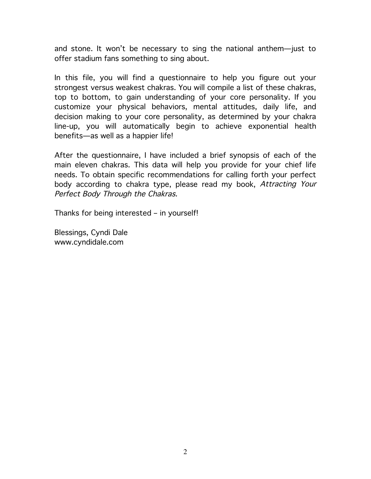and stone. It won't be necessary to sing the national anthem—just to offer stadium fans something to sing about.

In this file, you will find a questionnaire to help you figure out your strongest versus weakest chakras. You will compile a list of these chakras, top to bottom, to gain understanding of your core personality. If you customize your physical behaviors, mental attitudes, daily life, and decision making to your core personality, as determined by your chakra line-up, you will automatically begin to achieve exponential health benefits—as well as a happier life!

After the questionnaire, I have included a brief synopsis of each of the main eleven chakras. This data will help you provide for your chief life needs. To obtain specific recommendations for calling forth your perfect body according to chakra type, please read my book, Attracting Your Perfect Body Through the Chakras.

Thanks for being interested – in yourself!

Blessings, Cyndi Dale www.cyndidale.com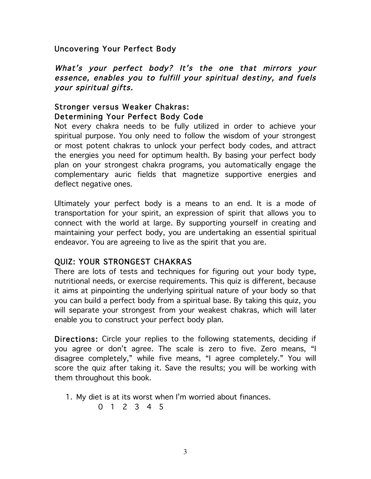Uncovering Your Perfect Body

What's your perfect body? It's the one that mirrors your essence, enables you to fulfill your spiritual destiny, and fuels your spiritual gifts.

# Stronger versus Weaker Chakras: Determining Your Perfect Body Code

Not every chakra needs to be fully utilized in order to achieve your spiritual purpose. You only need to follow the wisdom of your strongest or most potent chakras to unlock your perfect body codes, and attract the energies you need for optimum health. By basing your perfect body plan on your strongest chakra programs, you automatically engage the complementary auric fields that magnetize supportive energies and deflect negative ones.

Ultimately your perfect body is a means to an end. It is a mode of transportation for your spirit, an expression of spirit that allows you to connect with the world at large. By supporting yourself in creating and maintaining your perfect body, you are undertaking an essential spiritual endeavor. You are agreeing to live as the spirit that you are.

## QUIZ: YOUR STRONGEST CHAKRAS

There are lots of tests and techniques for figuring out your body type, nutritional needs, or exercise requirements. This quiz is different, because it aims at pinpointing the underlying spiritual nature of your body so that you can build a perfect body from a spiritual base. By taking this quiz, you will separate your strongest from your weakest chakras, which will later enable you to construct your perfect body plan.

Directions: Circle your replies to the following statements, deciding if you agree or don't agree. The scale is zero to five. Zero means, "I disagree completely," while five means, "I agree completely." You will score the quiz after taking it. Save the results; you will be working with them throughout this book.

- 1. My diet is at its worst when I'm worried about finances.
	- 0 1 2 3 4 5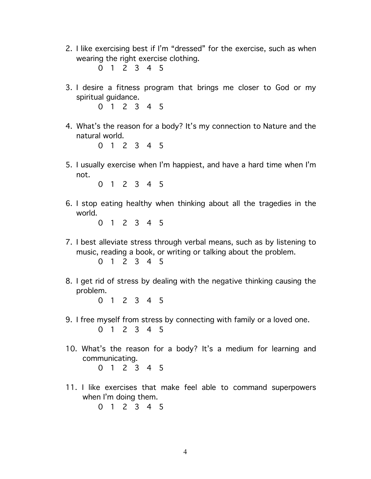- 2. I like exercising best if I'm "dressed" for the exercise, such as when wearing the right exercise clothing.
	- 0 1 2 3 4 5
- 3. I desire a fitness program that brings me closer to God or my spiritual guidance.
	- 0 1 2 3 4 5
- 4. What's the reason for a body? It's my connection to Nature and the natural world.

5. I usually exercise when I'm happiest, and have a hard time when I'm not.

0 1 2 3 4 5

6. I stop eating healthy when thinking about all the tragedies in the world.

0 1 2 3 4 5

- 7. I best alleviate stress through verbal means, such as by listening to music, reading a book, or writing or talking about the problem. 0 1 2 3 4 5
- 8. I get rid of stress by dealing with the negative thinking causing the problem.

- 9. I free myself from stress by connecting with family or a loved one. 0 1 2 3 4 5
- 10. What's the reason for a body? It's a medium for learning and communicating. 0 1 2 3 4 5
- 11. I like exercises that make feel able to command superpowers when I'm doing them.
	- 0 1 2 3 4 5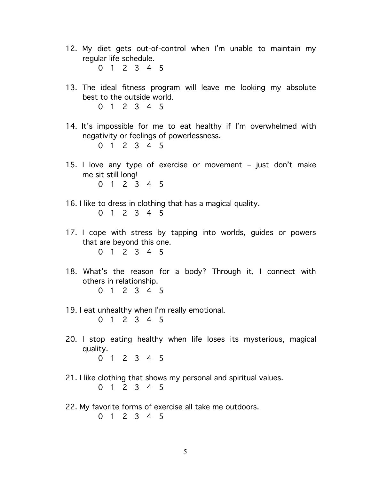12. My diet gets out-of-control when I'm unable to maintain my regular life schedule.

- 13. The ideal fitness program will leave me looking my absolute best to the outside world.
	- 0 1 2 3 4 5
- 14. It's impossible for me to eat healthy if I'm overwhelmed with negativity or feelings of powerlessness.

- 15. I love any type of exercise or movement just don't make me sit still long!
	- 0 1 2 3 4 5
- 16. I like to dress in clothing that has a magical quality. 0 1 2 3 4 5
- 17. I cope with stress by tapping into worlds, guides or powers that are beyond this one. 0 1 2 3 4 5
- 18. What's the reason for a body? Through it, I connect with others in relationship. 0 1 2 3 4 5
- 19. I eat unhealthy when I'm really emotional. 0 1 2 3 4 5
- 20. I stop eating healthy when life loses its mysterious, magical quality. 0 1 2 3 4 5
- 21. I like clothing that shows my personal and spiritual values. 0 1 2 3 4 5
- 22. My favorite forms of exercise all take me outdoors. 0 1 2 3 4 5

<sup>0 1 2 3 4 5</sup>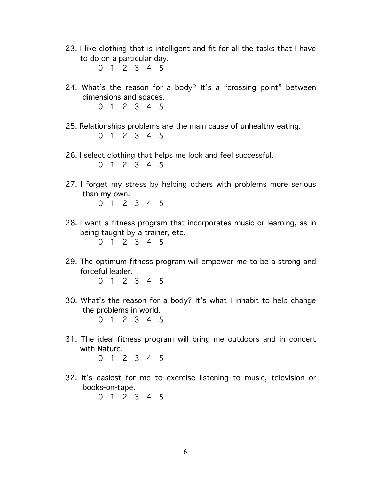- 23. I like clothing that is intelligent and fit for all the tasks that I have to do on a particular day.
	- 0 1 2 3 4 5
- 24. What's the reason for a body? It's a "crossing point" between dimensions and spaces. 0 1 2 3 4 5
- 25. Relationships problems are the main cause of unhealthy eating. 0 1 2 3 4 5
- 26. I select clothing that helps me look and feel successful.

- 27. I forget my stress by helping others with problems more serious than my own. 0 1 2 3 4 5
- 28. I want a fitness program that incorporates music or learning, as in being taught by a trainer, etc. 0 1 2 3 4 5
- 29. The optimum fitness program will empower me to be a strong and forceful leader.
	- 0 1 2 3 4 5
- 30. What's the reason for a body? It's what I inhabit to help change the problems in world.

0 1 2 3 4 5

31. The ideal fitness program will bring me outdoors and in concert with Nature.

- 32. It's easiest for me to exercise listening to music, television or books-on-tape.
	- 0 1 2 3 4 5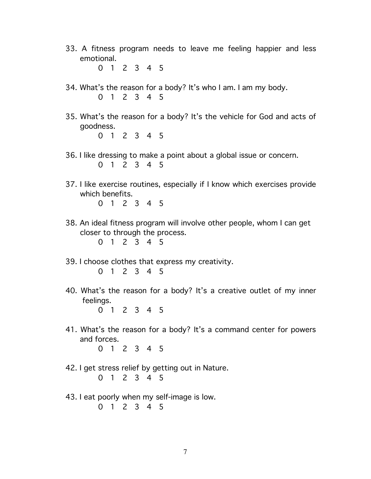33. A fitness program needs to leave me feeling happier and less emotional.

0 1 2 3 4 5

- 34. What's the reason for a body? It's who I am. I am my body. 0 1 2 3 4 5
- 35. What's the reason for a body? It's the vehicle for God and acts of goodness. 0 1 2 3 4 5
- 36. I like dressing to make a point about a global issue or concern. 0 1 2 3 4 5
- 37. I like exercise routines, especially if I know which exercises provide which benefits.
	- 0 1 2 3 4 5
- 38. An ideal fitness program will involve other people, whom I can get closer to through the process.

- 39. I choose clothes that express my creativity. 0 1 2 3 4 5
- 40. What's the reason for a body? It's a creative outlet of my inner feelings.
	- 0 1 2 3 4 5
- 41. What's the reason for a body? It's a command center for powers and forces.
	- 0 1 2 3 4 5
- 42. I get stress relief by getting out in Nature. 0 1 2 3 4 5
- 43. I eat poorly when my self-image is low. 0 1 2 3 4 5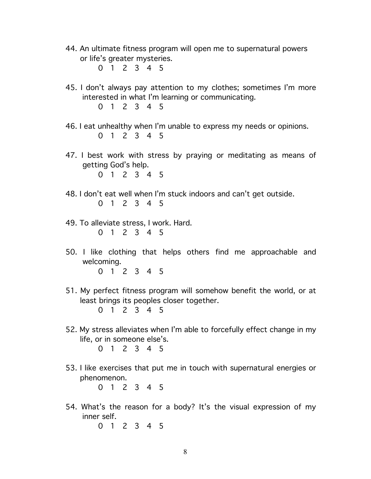- 44. An ultimate fitness program will open me to supernatural powers or life's greater mysteries.
	- 0 1 2 3 4 5
- 45. I don't always pay attention to my clothes; sometimes I'm more interested in what I'm learning or communicating.
	- 0 1 2 3 4 5
- 46. I eat unhealthy when I'm unable to express my needs or opinions. 0 1 2 3 4 5
- 47. I best work with stress by praying or meditating as means of getting God's help.
	- 0 1 2 3 4 5
- 48. I don't eat well when I'm stuck indoors and can't get outside. 0 1 2 3 4 5
- 49. To alleviate stress, I work. Hard. 0 1 2 3 4 5
- 50. I like clothing that helps others find me approachable and welcoming.
	- 0 1 2 3 4 5
- 51. My perfect fitness program will somehow benefit the world, or at least brings its peoples closer together. 0 1 2 3 4 5
- 52. My stress alleviates when I'm able to forcefully effect change in my life, or in someone else's.
	- 0 1 2 3 4 5
- 53. I like exercises that put me in touch with supernatural energies or phenomenon.

- 54. What's the reason for a body? It's the visual expression of my inner self.
	- 0 1 2 3 4 5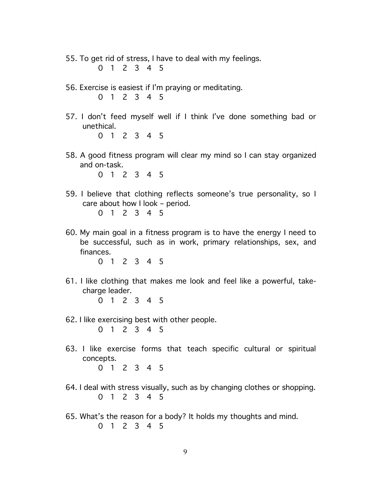- 55. To get rid of stress, I have to deal with my feelings. 0 1 2 3 4 5
- 56. Exercise is easiest if I'm praying or meditating. 0 1 2 3 4 5
- 57. I don't feed myself well if I think I've done something bad or unethical.

58. A good fitness program will clear my mind so I can stay organized and on-task.

0 1 2 3 4 5

- 59. I believe that clothing reflects someone's true personality, so I care about how I look – period.
	- 0 1 2 3 4 5
- 60. My main goal in a fitness program is to have the energy I need to be successful, such as in work, primary relationships, sex, and finances.

- 61. I like clothing that makes me look and feel like a powerful, take charge leader. 0 1 2 3 4 5
- 62. I like exercising best with other people. 0 1 2 3 4 5
- 63. I like exercise forms that teach specific cultural or spiritual concepts. 0 1 2 3 4 5
- 64. I deal with stress visually, such as by changing clothes or shopping. 0 1 2 3 4 5
- 65. What's the reason for a body? It holds my thoughts and mind. 0 1 2 3 4 5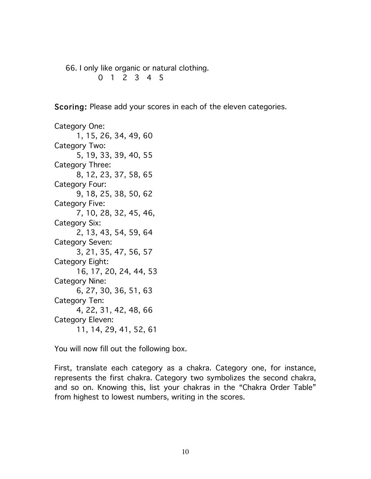66. I only like organic or natural clothing. 0 1 2 3 4 5

Scoring: Please add your scores in each of the eleven categories.

Category One: 1, 15, 26, 34, 49, 60 Category Two: 5, 19, 33, 39, 40, 55 Category Three: 8, 12, 23, 37, 58, 65 Category Four: 9, 18, 25, 38, 50, 62 Category Five: 7, 10, 28, 32, 45, 46, Category Six: 2, 13, 43, 54, 59, 64 Category Seven: 3, 21, 35, 47, 56, 57 Category Eight: 16, 17, 20, 24, 44, 53 Category Nine: 6, 27, 30, 36, 51, 63 Category Ten: 4, 22, 31, 42, 48, 66 Category Eleven: 11, 14, 29, 41, 52, 61

You will now fill out the following box.

First, translate each category as a chakra. Category one, for instance, represents the first chakra. Category two symbolizes the second chakra, and so on. Knowing this, list your chakras in the "Chakra Order Table" from highest to lowest numbers, writing in the scores.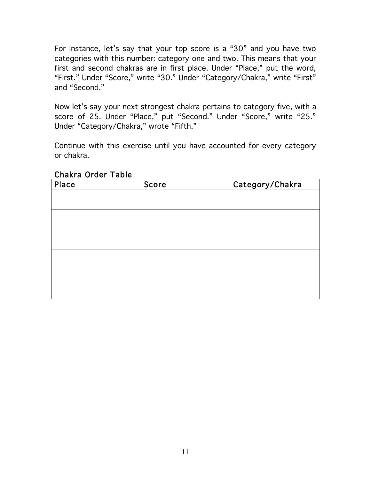For instance, let's say that your top score is a "30" and you have two categories with this number: category one and two. This means that your first and second chakras are in first place. Under "Place," put the word, "First." Under "Score," write "30." Under "Category/Chakra," write "First" and "Second."

Now let's say your next strongest chakra pertains to category five, with a score of 25. Under "Place," put "Second." Under "Score," write "25." Under "Category/Chakra," wrote "Fifth."

Continue with this exercise until you have accounted for every category or chakra.

| Place | Score | Category/Chakra |
|-------|-------|-----------------|
|       |       |                 |
|       |       |                 |
|       |       |                 |
|       |       |                 |
|       |       |                 |
|       |       |                 |
|       |       |                 |
|       |       |                 |
|       |       |                 |
|       |       |                 |
|       |       |                 |

Chakra Order Table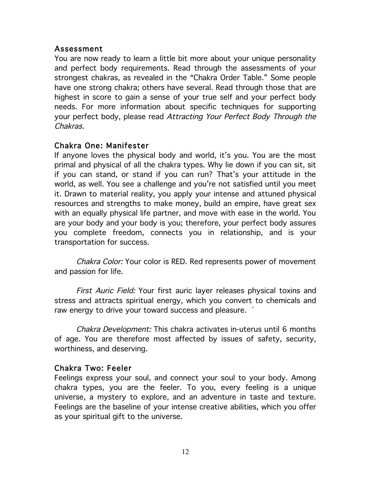#### Assessment

You are now ready to learn a little bit more about your unique personality and perfect body requirements. Read through the assessments of your strongest chakras, as revealed in the "Chakra Order Table." Some people have one strong chakra; others have several. Read through those that are highest in score to gain a sense of your true self and your perfect body needs. For more information about specific techniques for supporting your perfect body, please read Attracting Your Perfect Body Through the Chakras.

### Chakra One: Manifester

If anyone loves the physical body and world, it's you. You are the most primal and physical of all the chakra types. Why lie down if you can sit, sit if you can stand, or stand if you can run? That's your attitude in the world, as well. You see a challenge and you're not satisfied until you meet it. Drawn to material reality, you apply your intense and attuned physical resources and strengths to make money, build an empire, have great sex with an equally physical life partner, and move with ease in the world. You are your body and your body is you; therefore, your perfect body assures you complete freedom, connects you in relationship, and is your transportation for success.

Chakra Color: Your color is RED. Red represents power of movement and passion for life.

First Auric Field: Your first auric layer releases physical toxins and stress and attracts spiritual energy, which you convert to chemicals and raw energy to drive your toward success and pleasure. `

Chakra Development: This chakra activates in-uterus until 6 months of age. You are therefore most affected by issues of safety, security, worthiness, and deserving.

### Chakra Two: Feeler

Feelings express your soul, and connect your soul to your body. Among chakra types, you are the feeler. To you, every feeling is a unique universe, a mystery to explore, and an adventure in taste and texture. Feelings are the baseline of your intense creative abilities, which you offer as your spiritual gift to the universe.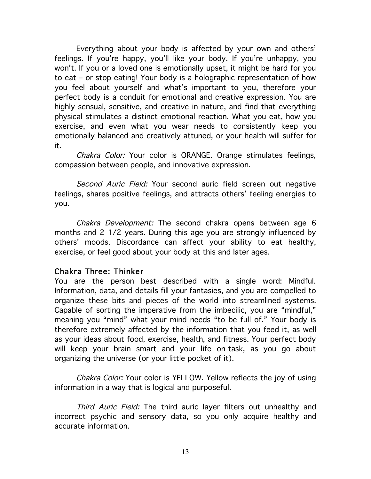Everything about your body is affected by your own and others' feelings. If you're happy, you'll like your body. If you're unhappy, you won't. If you or a loved one is emotionally upset, it might be hard for you to eat – or stop eating! Your body is a holographic representation of how you feel about yourself and what's important to you, therefore your perfect body is a conduit for emotional and creative expression. You are highly sensual, sensitive, and creative in nature, and find that everything physical stimulates a distinct emotional reaction. What you eat, how you exercise, and even what you wear needs to consistently keep you emotionally balanced and creatively attuned, or your health will suffer for it.

Chakra Color: Your color is ORANGE. Orange stimulates feelings, compassion between people, and innovative expression.

Second Auric Field: Your second auric field screen out negative feelings, shares positive feelings, and attracts others' feeling energies to you.

Chakra Development: The second chakra opens between age 6 months and 2 1/2 years. During this age you are strongly influenced by others' moods. Discordance can affect your ability to eat healthy, exercise, or feel good about your body at this and later ages.

### Chakra Three: Thinker

You are the person best described with a single word: Mindful. Information, data, and details fill your fantasies, and you are compelled to organize these bits and pieces of the world into streamlined systems. Capable of sorting the imperative from the imbecilic, you are "mindful," meaning you "mind" what your mind needs "to be full of." Your body is therefore extremely affected by the information that you feed it, as well as your ideas about food, exercise, health, and fitness. Your perfect body will keep your brain smart and your life on-task, as you go about organizing the universe (or your little pocket of it).

Chakra Color: Your color is YELLOW. Yellow reflects the joy of using information in a way that is logical and purposeful.

Third Auric Field: The third auric layer filters out unhealthy and incorrect psychic and sensory data, so you only acquire healthy and accurate information.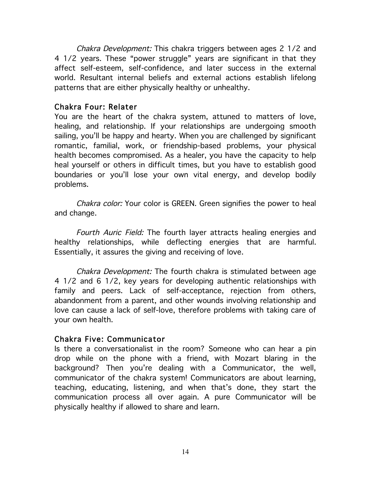Chakra Development: This chakra triggers between ages 2 1/2 and 4 1/2 years. These "power struggle" years are significant in that they affect self-esteem, self-confidence, and later success in the external world. Resultant internal beliefs and external actions establish lifelong patterns that are either physically healthy or unhealthy.

### Chakra Four: Relater

You are the heart of the chakra system, attuned to matters of love, healing, and relationship. If your relationships are undergoing smooth sailing, you'll be happy and hearty. When you are challenged by significant romantic, familial, work, or friendship-based problems, your physical health becomes compromised. As a healer, you have the capacity to help heal yourself or others in difficult times, but you have to establish good boundaries or you'll lose your own vital energy, and develop bodily problems.

Chakra color: Your color is GREEN. Green signifies the power to heal and change.

Fourth Auric Field: The fourth layer attracts healing energies and healthy relationships, while deflecting energies that are harmful. Essentially, it assures the giving and receiving of love.

Chakra Development: The fourth chakra is stimulated between age 4 1/2 and 6 1/2, key years for developing authentic relationships with family and peers. Lack of self-acceptance, rejection from others, abandonment from a parent, and other wounds involving relationship and love can cause a lack of self-love, therefore problems with taking care of your own health.

## Chakra Five: Communicator

Is there a conversationalist in the room? Someone who can hear a pin drop while on the phone with a friend, with Mozart blaring in the background? Then you're dealing with a Communicator, the well, communicator of the chakra system! Communicators are about learning, teaching, educating, listening, and when that's done, they start the communication process all over again. A pure Communicator will be physically healthy if allowed to share and learn.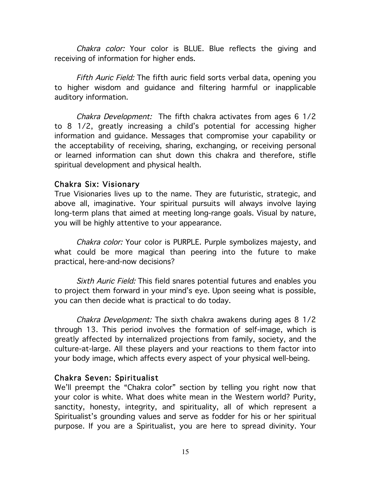Chakra color: Your color is BLUE. Blue reflects the giving and receiving of information for higher ends.

Fifth Auric Field: The fifth auric field sorts verbal data, opening you to higher wisdom and guidance and filtering harmful or inapplicable auditory information.

Chakra Development: The fifth chakra activates from ages 6 1/2 to 8 1/2, greatly increasing a child's potential for accessing higher information and guidance. Messages that compromise your capability or the acceptability of receiving, sharing, exchanging, or receiving personal or learned information can shut down this chakra and therefore, stifle spiritual development and physical health.

### Chakra Six: Visionary

True Visionaries lives up to the name. They are futuristic, strategic, and above all, imaginative. Your spiritual pursuits will always involve laying long-term plans that aimed at meeting long-range goals. Visual by nature, you will be highly attentive to your appearance.

Chakra color: Your color is PURPLE. Purple symbolizes majesty, and what could be more magical than peering into the future to make practical, here-and-now decisions?

Sixth Auric Field: This field snares potential futures and enables you to project them forward in your mind's eye. Upon seeing what is possible, you can then decide what is practical to do today.

Chakra Development: The sixth chakra awakens during ages 8 1/2 through 13. This period involves the formation of self-image, which is greatly affected by internalized projections from family, society, and the culture-at-large. All these players and your reactions to them factor into your body image, which affects every aspect of your physical well-being.

### Chakra Seven: Spiritualist

We'll preempt the "Chakra color" section by telling you right now that your color is white. What does white mean in the Western world? Purity, sanctity, honesty, integrity, and spirituality, all of which represent a Spiritualist's grounding values and serve as fodder for his or her spiritual purpose. If you are a Spiritualist, you are here to spread divinity. Your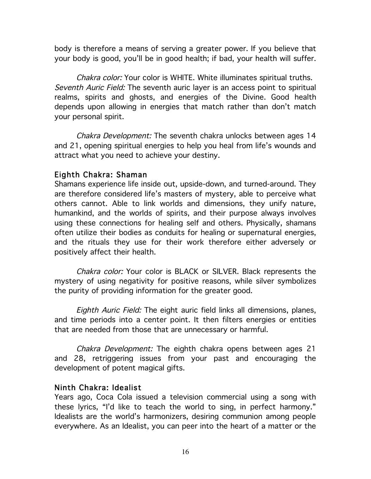body is therefore a means of serving a greater power. If you believe that your body is good, you'll be in good health; if bad, your health will suffer.

Chakra color: Your color is WHITE. White illuminates spiritual truths. Seventh Auric Field: The seventh auric layer is an access point to spiritual realms, spirits and ghosts, and energies of the Divine. Good health depends upon allowing in energies that match rather than don't match your personal spirit.

Chakra Development: The seventh chakra unlocks between ages 14 and 21, opening spiritual energies to help you heal from life's wounds and attract what you need to achieve your destiny.

## Eighth Chakra: Shaman

Shamans experience life inside out, upside-down, and turned-around. They are therefore considered life's masters of mystery, able to perceive what others cannot. Able to link worlds and dimensions, they unify nature, humankind, and the worlds of spirits, and their purpose always involves using these connections for healing self and others. Physically, shamans often utilize their bodies as conduits for healing or supernatural energies, and the rituals they use for their work therefore either adversely or positively affect their health.

Chakra color: Your color is BLACK or SILVER. Black represents the mystery of using negativity for positive reasons, while silver symbolizes the purity of providing information for the greater good.

Eighth Auric Field: The eight auric field links all dimensions, planes, and time periods into a center point. It then filters energies or entities that are needed from those that are unnecessary or harmful.

Chakra Development: The eighth chakra opens between ages 21 and 28, retriggering issues from your past and encouraging the development of potent magical gifts.

## Ninth Chakra: Idealist

Years ago, Coca Cola issued a television commercial using a song with these lyrics, "I'd like to teach the world to sing, in perfect harmony." Idealists are the world's harmonizers, desiring communion among people everywhere. As an Idealist, you can peer into the heart of a matter or the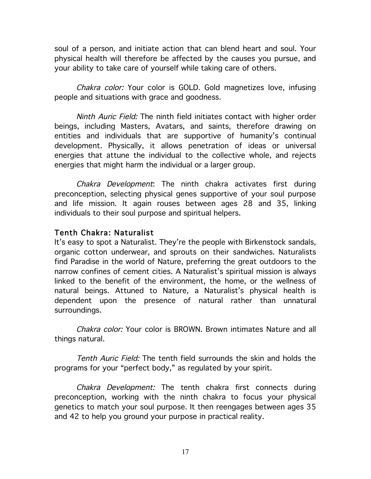soul of a person, and initiate action that can blend heart and soul. Your physical health will therefore be affected by the causes you pursue, and your ability to take care of yourself while taking care of others.

Chakra color: Your color is GOLD. Gold magnetizes love, infusing people and situations with grace and goodness.

Ninth Auric Field: The ninth field initiates contact with higher order beings, including Masters, Avatars, and saints, therefore drawing on entities and individuals that are supportive of humanity's continual development. Physically, it allows penetration of ideas or universal energies that attune the individual to the collective whole, and rejects energies that might harm the individual or a larger group.

Chakra Development: The ninth chakra activates first during preconception, selecting physical genes supportive of your soul purpose and life mission. It again rouses between ages 28 and 35, linking individuals to their soul purpose and spiritual helpers.

### Tenth Chakra: Naturalist

It's easy to spot a Naturalist. They're the people with Birkenstock sandals, organic cotton underwear, and sprouts on their sandwiches. Naturalists find Paradise in the world of Nature, preferring the great outdoors to the narrow confines of cement cities. A Naturalist's spiritual mission is always linked to the benefit of the environment, the home, or the wellness of natural beings. Attuned to Nature, a Naturalist's physical health is dependent upon the presence of natural rather than unnatural surroundings.

Chakra color: Your color is BROWN. Brown intimates Nature and all things natural.

Tenth Auric Field: The tenth field surrounds the skin and holds the programs for your "perfect body," as regulated by your spirit.

Chakra Development: The tenth chakra first connects during preconception, working with the ninth chakra to focus your physical genetics to match your soul purpose. It then reengages between ages 35 and 42 to help you ground your purpose in practical reality.